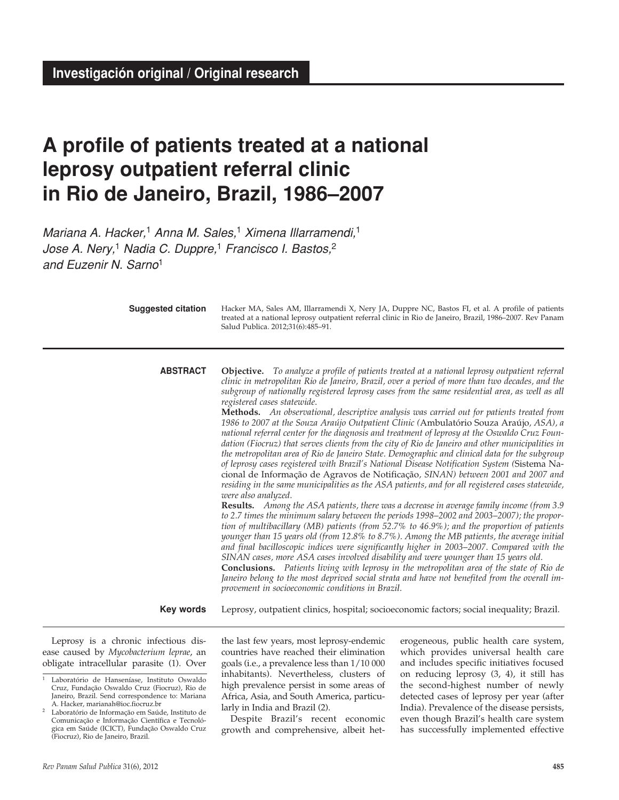# **A profile of patients treated at a national leprosy outpatient referral clinic in Rio de Janeiro, Brazil, 1986–2007**

*Mariana A. Hacker,*1 *Anna M. Sales,*1 *Ximena Illarramendi,*<sup>1</sup> *Jose A. Nery,*1 *Nadia C. Duppre,*1 *Francisco I. Bastos,*<sup>2</sup> *and Euzenir N. Sarno*<sup>1</sup>

| <b>Suggested citation</b> | Hacker MA, Sales AM, Illarramendi X, Nery JA, Duppre NC, Bastos FI, et al. A profile of patients<br>treated at a national leprosy outpatient referral clinic in Rio de Janeiro, Brazil, 1986-2007. Rev Panam<br>Salud Publica. 2012;31(6):485-91.                                                                                                                                                                                                                                                                                                                                                                                                                                                                                                                                                                                                                                                                                                                                                                                                                                                                                                                                                                                                                                                                                                                                                                                                                                                                                                                                                                                                                                                                                                                                                                                                                                                                                                                            |  |  |
|---------------------------|------------------------------------------------------------------------------------------------------------------------------------------------------------------------------------------------------------------------------------------------------------------------------------------------------------------------------------------------------------------------------------------------------------------------------------------------------------------------------------------------------------------------------------------------------------------------------------------------------------------------------------------------------------------------------------------------------------------------------------------------------------------------------------------------------------------------------------------------------------------------------------------------------------------------------------------------------------------------------------------------------------------------------------------------------------------------------------------------------------------------------------------------------------------------------------------------------------------------------------------------------------------------------------------------------------------------------------------------------------------------------------------------------------------------------------------------------------------------------------------------------------------------------------------------------------------------------------------------------------------------------------------------------------------------------------------------------------------------------------------------------------------------------------------------------------------------------------------------------------------------------------------------------------------------------------------------------------------------------|--|--|
| <b>ABSTRACT</b>           | Objective. To analyze a profile of patients treated at a national leprosy outpatient referral<br>clinic in metropolitan Rio de Janeiro, Brazil, over a period of more than two decades, and the<br>subgroup of nationally registered leprosy cases from the same residential area, as well as all<br>registered cases statewide.<br>Methods. An observational, descriptive analysis was carried out for patients treated from<br>1986 to 2007 at the Souza Araújo Outpatient Clinic (Ambulatório Souza Araújo, ASA), a<br>national referral center for the diagnosis and treatment of leprosy at the Oswaldo Cruz Foun-<br>dation (Fiocruz) that serves clients from the city of Rio de Janeiro and other municipalities in<br>the metropolitan area of Rio de Janeiro State. Demographic and clinical data for the subgroup<br>of leprosy cases registered with Brazil's National Disease Notification System (Sistema Na-<br>cional de Informação de Agravos de Notificação, SINAN) between 2001 and 2007 and<br>residing in the same municipalities as the ASA patients, and for all registered cases statewide,<br>were also analyzed.<br>Results. Among the ASA patients, there was a decrease in average family income (from 3.9<br>to 2.7 times the minimum salary between the periods 1998–2002 and 2003–2007); the propor-<br>tion of multibacillary (MB) patients (from 52.7% to 46.9%); and the proportion of patients<br>younger than 15 years old (from 12.8% to 8.7%). Among the MB patients, the average initial<br>and final bacilloscopic indices were significantly higher in 2003-2007. Compared with the<br>SINAN cases, more ASA cases involved disability and were younger than 15 years old.<br><b>Conclusions.</b> Patients living with leprosy in the metropolitan area of the state of Rio de<br>Janeiro belong to the most deprived social strata and have not benefited from the overall im-<br>provement in socioeconomic conditions in Brazil. |  |  |
| <b>Key words</b>          | Leprosy, outpatient clinics, hospital; socioeconomic factors; social inequality; Brazil.                                                                                                                                                                                                                                                                                                                                                                                                                                                                                                                                                                                                                                                                                                                                                                                                                                                                                                                                                                                                                                                                                                                                                                                                                                                                                                                                                                                                                                                                                                                                                                                                                                                                                                                                                                                                                                                                                     |  |  |

Leprosy is a chronic infectious disease caused by *Mycobacterium leprae*, an obligate intracellular parasite (1). Over the last few years, most leprosy-endemic countries have reached their elimination goals (i.e., a prevalence less than 1/10 000 inhabitants). Nevertheless, clusters of high prevalence persist in some areas of Africa, Asia, and South America, particularly in India and Brazil (2).

Despite Brazil's recent economic growth and comprehensive, albeit heterogeneous, public health care system, which provides universal health care and includes specific initiatives focused on reducing leprosy (3, 4), it still has the second-highest number of newly detected cases of leprosy per year (after India). Prevalence of the disease persists, even though Brazil's health care system has successfully implemented effective

<sup>1</sup> Laboratório de Hanseníase, Instituto Oswaldo Cruz, Fundação Oswaldo Cruz (Fiocruz), Rio de Janeiro, Brazil. Send correspondence to: Mariana A. Hacker, marianah@ioc.fiocruz.br

<sup>2</sup> Laboratório de Informação em Saúde, Instituto de Comunicação e Informação Científica e Tecnológica em Saúde (ICICT), Fundação Oswaldo Cruz (Fiocruz), Rio de Janeiro, Brazil.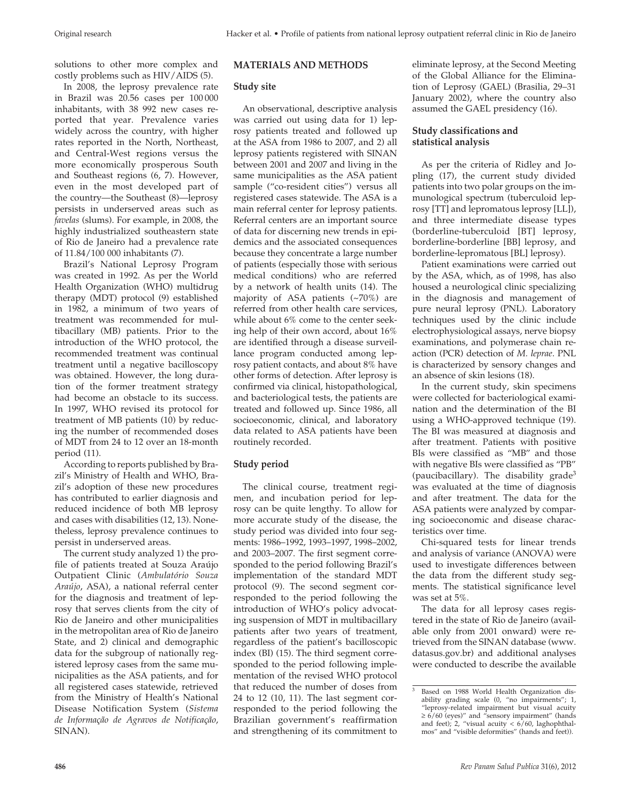solutions to other more complex and costly problems such as HIV/AIDS (5).

In 2008, the leprosy prevalence rate in Brazil was 20.56 cases per 100 000 inhabitants, with 38 992 new cases reported that year. Prevalence varies widely across the country, with higher rates reported in the North, Northeast, and Central-West regions versus the more economically prosperous South and Southeast regions (6, 7). However, even in the most developed part of the country—the Southeast (8)—leprosy persists in underserved areas such as *favelas* (slums). For example, in 2008, the highly industrialized southeastern state of Rio de Janeiro had a prevalence rate of 11.84/100 000 inhabitants (7).

Brazil's National Leprosy Program was created in 1992. As per the World Health Organization (WHO) multidrug therapy (MDT) protocol (9) established in 1982, a minimum of two years of treatment was recommended for multibacillary (MB) patients. Prior to the introduction of the WHO protocol, the recommended treatment was continual treatment until a negative bacilloscopy was obtained. However, the long duration of the former treatment strategy had become an obstacle to its success. In 1997, WHO revised its protocol for treatment of MB patients (10) by reducing the number of recommended doses of MDT from 24 to 12 over an 18-month period (11).

According to reports published by Brazil's Ministry of Health and WHO, Brazil's adoption of these new procedures has contributed to earlier diagnosis and reduced incidence of both MB leprosy and cases with disabilities (12, 13). Nonetheless, leprosy prevalence continues to persist in underserved areas.

The current study analyzed 1) the profile of patients treated at Souza Araújo Outpatient Clinic (*Ambulatório Souza Araújo*, ASA), a national referral center for the diagnosis and treatment of leprosy that serves clients from the city of Rio de Janeiro and other municipalities in the metropolitan area of Rio de Janeiro State, and 2) clinical and demographic data for the subgroup of nationally registered leprosy cases from the same municipalities as the ASA patients, and for all registered cases statewide, retrieved from the Ministry of Health's National Disease Notification System (*Sistema de Informação de Agravos de Notificação*, SINAN).

## **MATERIALS AND METHODS**

#### **Study site**

An observational, descriptive analysis was carried out using data for 1) leprosy patients treated and followed up at the ASA from 1986 to 2007, and 2) all leprosy patients registered with SINAN between 2001 and 2007 and living in the same municipalities as the ASA patient sample ("co-resident cities") versus all registered cases statewide. The ASA is a main referral center for leprosy patients. Referral centers are an important source of data for discerning new trends in epidemics and the associated consequences because they concentrate a large number of patients (especially those with serious medical conditions) who are referred by a network of health units (14). The majority of ASA patients (~70%) are referred from other health care services, while about 6% come to the center seeking help of their own accord, about 16% are identified through a disease surveillance program conducted among leprosy patient contacts, and about 8% have other forms of detection. After leprosy is confirmed via clinical, histopathological, and bacteriological tests, the patients are treated and followed up. Since 1986, all socioeconomic, clinical, and laboratory data related to ASA patients have been routinely recorded.

### **Study period**

The clinical course, treatment regimen, and incubation period for leprosy can be quite lengthy. To allow for more accurate study of the disease, the study period was divided into four segments: 1986–1992, 1993–1997, 1998–2002, and 2003–2007. The first segment corresponded to the period following Brazil's implementation of the standard MDT protocol (9). The second segment corresponded to the period following the introduction of WHO's policy advocating suspension of MDT in multibacillary patients after two years of treatment, regardless of the patient's bacilloscopic index (BI) (15). The third segment corresponded to the period following implementation of the revised WHO protocol that reduced the number of doses from 24 to 12 (10, 11). The last segment corresponded to the period following the Brazilian government's reaffirmation and strengthening of its commitment to

eliminate leprosy, at the Second Meeting of the Global Alliance for the Elimination of Leprosy (GAEL) (Brasilia, 29–31 January 2002), where the country also assumed the GAEL presidency (16).

## **Study classifications and statistical analysis**

As per the criteria of Ridley and Jopling (17), the current study divided patients into two polar groups on the immunological spectrum (tuberculoid leprosy [TT] and lepromatous leprosy [LL]), and three intermediate disease types (borderline-tuberculoid [BT] leprosy, borderline-borderline [BB] leprosy, and borderline-lepromatous [BL] leprosy).

Patient examinations were carried out by the ASA, which, as of 1998, has also housed a neurological clinic specializing in the diagnosis and management of pure neural leprosy (PNL). Laboratory techniques used by the clinic include electrophysiological assays, nerve biopsy examinations, and polymerase chain reaction (PCR) detection of *M. leprae*. PNL is characterized by sensory changes and an absence of skin lesions (18).

In the current study, skin specimens were collected for bacteriological examination and the determination of the BI using a WHO-approved technique (19). The BI was measured at diagnosis and after treatment. Patients with positive BIs were classified as "MB" and those with negative BIs were classified as "PB" (paucibacillary). The disability grade<sup>3</sup> was evaluated at the time of diagnosis and after treatment. The data for the ASA patients were analyzed by comparing socioeconomic and disease characteristics over time.

Chi-squared tests for linear trends and analysis of variance (ANOVA) were used to investigate differences between the data from the different study segments. The statistical significance level was set at 5%.

The data for all leprosy cases registered in the state of Rio de Janeiro (available only from 2001 onward) were retrieved from the SINAN database (www. datasus.gov.br) and additional analyses were conducted to describe the available

<sup>&</sup>lt;sup>3</sup> Based on 1988 World Health Organization disability grading scale (0, "no impairments"; 1, "leprosy-related impairment but visual acuity  $\geq 6/60$  (eyes)" and "sensory impairment" (hands and feet); 2, "visual acuity < 6/60, laghophthalmos" and "visible deformities" (hands and feet)).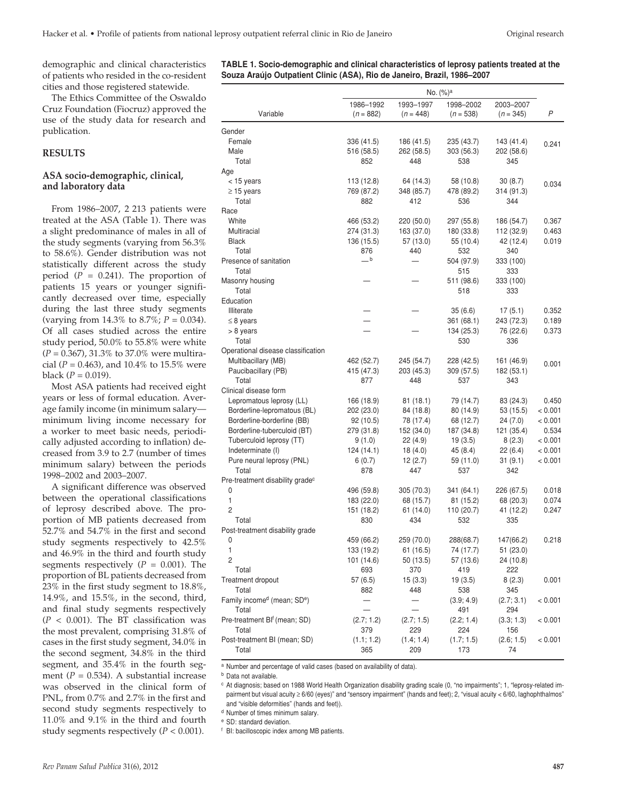demographic and clinical characteristics of patients who resided in the co-resident cities and those registered statewide.

The Ethics Committee of the Oswaldo Cruz Foundation (Fiocruz) approved the use of the study data for research and publication.

#### **RESULTS**

#### **ASA socio-demographic, clinical, and laboratory data**

From 1986–2007, 2 213 patients were treated at the ASA (Table 1). There was a slight predominance of males in all of the study segments (varying from 56.3% to 58.6%). Gender distribution was not statistically different across the study period  $(P = 0.241)$ . The proportion of patients 15 years or younger significantly decreased over time, especially during the last three study segments (varying from  $14.3\%$  to  $8.7\%$ ;  $P = 0.034$ ). Of all cases studied across the entire study period, 50.0% to 55.8% were white (*P* = 0.367), 31.3% to 37.0% were multiracial ( $P = 0.463$ ), and 10.4% to 15.5% were black  $(P = 0.019)$ .

Most ASA patients had received eight years or less of formal education. Average family income (in minimum salary minimum living income necessary for a worker to meet basic needs, periodically adjusted according to inflation) decreased from 3.9 to 2.7 (number of times minimum salary) between the periods 1998–2002 and 2003–2007.

A significant difference was observed between the operational classifications of leprosy described above. The proportion of MB patients decreased from 52.7% and 54.7% in the first and second study segments respectively to 42.5% and 46.9% in the third and fourth study segments respectively  $(P = 0.001)$ . The proportion of BL patients decreased from 23% in the first study segment to 18.8%, 14.9%, and 15.5%, in the second, third, and final study segments respectively  $(P < 0.001)$ . The BT classification was the most prevalent, comprising 31.8% of cases in the first study segment, 34.0% in the second segment, 34.8% in the third segment, and 35.4% in the fourth segment  $(P = 0.534)$ . A substantial increase was observed in the clinical form of PNL, from 0.7% and 2.7% in the first and second study segments respectively to 11.0% and 9.1% in the third and fourth study segments respectively (*P* < 0.001).

**TABLE 1. Socio-demographic and clinical characteristics of leprosy patients treated at the Souza Araújo Outpatient Clinic (ASA), Rio de Janeiro, Brazil, 1986–2007**

|                                                     | No. (%) <sup>a</sup> |             |             |             |         |  |
|-----------------------------------------------------|----------------------|-------------|-------------|-------------|---------|--|
|                                                     | 1986-1992            | 1993-1997   | 1998-2002   | 2003-2007   |         |  |
| Variable                                            | $(n = 882)$          | $(n = 448)$ | $(n = 538)$ | $(n = 345)$ | P       |  |
| Gender                                              |                      |             |             |             |         |  |
| Female                                              | 336 (41.5)           | 186 (41.5)  | 235 (43.7)  | 143 (41.4)  | 0.241   |  |
| Male                                                | 516 (58.5)           | 262 (58.5)  | 303 (56.3)  | 202 (58.6)  |         |  |
| Total                                               | 852                  | 448         | 538         | 345         |         |  |
| Age                                                 |                      |             |             |             |         |  |
| < 15 years                                          | 113 (12.8)           | 64 (14.3)   | 58 (10.8)   | 30(8.7)     | 0.034   |  |
| $\geq$ 15 years                                     | 769 (87.2)           | 348 (85.7)  | 478 (89.2)  | 314 (91.3)  |         |  |
| Total                                               | 882                  | 412         | 536         | 344         |         |  |
| Race                                                |                      |             |             |             |         |  |
| White                                               | 466 (53.2)           | 220 (50.0)  | 297 (55.8)  | 186 (54.7)  | 0.367   |  |
| Multiracial                                         | 274 (31.3)           | 163 (37.0)  | 180 (33.8)  | 112 (32.9)  | 0.463   |  |
| <b>Black</b>                                        | 136 (15.5)           | 57 (13.0)   | 55 (10.4)   | 42 (12.4)   | 0.019   |  |
| Total                                               | 876                  | 440         | 532         | 340         |         |  |
| Presence of sanitation                              | $-^{\mathsf{b}}$     |             | 504 (97.9)  | 333 (100)   |         |  |
| Total                                               |                      |             | 515         | 333         |         |  |
| Masonry housing                                     |                      |             | 511 (98.6)  | 333 (100)   |         |  |
| Total                                               |                      |             | 518         | 333         |         |  |
| Education                                           |                      |             |             |             |         |  |
| Illiterate                                          |                      |             | 35 (6.6)    | 17(5.1)     | 0.352   |  |
| $\leq$ 8 years                                      |                      |             | 361 (68.1)  | 243 (72.3)  | 0.189   |  |
| > 8 years                                           |                      |             | 134 (25.3)  | 76 (22.6)   | 0.373   |  |
| Total                                               |                      |             | 530         | 336         |         |  |
| Operational disease classification                  |                      |             |             |             |         |  |
| Multibacillary (MB)                                 | 462 (52.7)           | 245 (54.7)  | 228 (42.5)  | 161 (46.9)  | 0.001   |  |
| Paucibacillary (PB)                                 | 415 (47.3)           | 203 (45.3)  | 309 (57.5)  | 182 (53.1)  |         |  |
| Total                                               | 877                  | 448         | 537         | 343         |         |  |
| Clinical disease form                               |                      |             |             |             |         |  |
| Lepromatous leprosy (LL)                            | 166 (18.9)           | 81 (18.1)   | 79 (14.7)   | 83 (24.3)   | 0.450   |  |
| Borderline-lepromatous (BL)                         | 202 (23.0)           | 84 (18.8)   | 80 (14.9)   | 53 (15.5)   | < 0.001 |  |
| Borderline-borderline (BB)                          | 92 (10.5)            | 78 (17.4)   | 68 (12.7)   | 24 (7.0)    | < 0.001 |  |
| Borderline-tuberculoid (BT)                         | 279 (31.8)           | 152 (34.0)  | 187 (34.8)  | 121 (35.4)  | 0.534   |  |
| Tuberculoid leprosy (TT)                            | 9(1.0)               | 22 (4.9)    | 19(3.5)     | 8(2.3)      | < 0.001 |  |
| Indeterminate (I)                                   | 124 (14.1)           | 18(4.0)     | 45 (8.4)    | 22(6.4)     | < 0.001 |  |
| Pure neural leprosy (PNL)                           | 6(0.7)               | 12 (2.7)    | 59 (11.0)   | 31 (9.1)    | < 0.001 |  |
| Total                                               | 878                  | 447         | 537         | 342         |         |  |
| Pre-treatment disability grade <sup>c</sup>         |                      |             |             |             |         |  |
| 0                                                   | 496 (59.8)           | 305 (70.3)  | 341 (64.1)  | 226 (67.5)  | 0.018   |  |
| 1                                                   | 183 (22.0)           | 68 (15.7)   | 81 (15.2)   | 68 (20.3)   | 0.074   |  |
| $\overline{2}$                                      | 151 (18.2)           | 61 (14.0)   | 110 (20.7)  | 41 (12.2)   | 0.247   |  |
| Total                                               | 830                  | 434         | 532         | 335         |         |  |
| Post-treatment disability grade                     |                      |             |             |             |         |  |
| 0                                                   | 459 (66.2)           | 259 (70.0)  | 288(68.7)   | 147(66.2)   | 0.218   |  |
| 1                                                   | 133 (19.2)           | 61 (16.5)   | 74 (17.7)   | 51 (23.0)   |         |  |
| $\overline{c}$                                      | 101 (14.6)           | 50 (13.5)   | 57 (13.6)   | 24 (10.8)   |         |  |
| Total                                               | 693                  | 370         | 419         | 222         |         |  |
| Treatment dropout                                   | 57 (6.5)             | 15(3.3)     | 19(3.5)     | 8(2.3)      | 0.001   |  |
| Total                                               | 882                  | 448         | 538         | 345         |         |  |
| Family income <sup>d</sup> (mean; SD <sup>e</sup> ) |                      |             | (3.9; 4.9)  | (2.7; 3.1)  | < 0.001 |  |
| Total                                               |                      |             | 491         | 294         |         |  |
| Pre-treatment Bl <sup>f</sup> (mean; SD)            | (2.7; 1.2)           | (2.7; 1.5)  | (2.2; 1.4)  | (3.3; 1.3)  | < 0.001 |  |
| Total                                               | 379                  | 229         | 224         | 156         |         |  |
| Post-treatment BI (mean; SD)                        | (1.1; 1.2)           | (1.4; 1.4)  | (1.7; 1.5)  | (2.6; 1.5)  | < 0.001 |  |
| Total                                               | 365                  | 209         | 173         | 74          |         |  |

<sup>a</sup> Number and percentage of valid cases (based on availability of data).

**b** Data not available.

<sup>c</sup> At diagnosis; based on 1988 World Health Organization disability grading scale (0, "no impairments"; 1, "leprosy-related impairment but visual acuity ≥ 6/60 (eyes)" and "sensory impairment" (hands and feet); 2, "visual acuity < 6/60, laghophthalmos" and "visible deformities" (hands and feet)).

<sup>d</sup> Number of times minimum salary.

<sup>e</sup> SD: standard deviation.

<sup>f</sup> BI: bacilloscopic index among MB patients.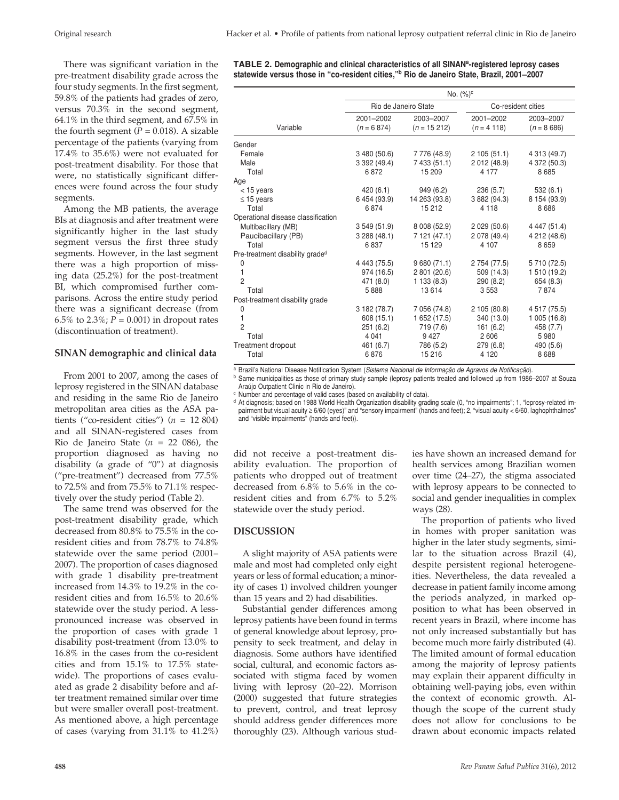There was significant variation in the pre-treatment disability grade across the four study segments. In the first segment, 59.8% of the patients had grades of zero, versus 70.3% in the second segment, 64.1% in the third segment, and 67.5% in the fourth segment ( $P = 0.018$ ). A sizable percentage of the patients (varying from 17.4% to 35.6%) were not evaluated for post-treatment disability. For those that were, no statistically significant differences were found across the four study segments.

Among the MB patients, the average BIs at diagnosis and after treatment were significantly higher in the last study segment versus the first three study segments. However, in the last segment there was a high proportion of missing data (25.2%) for the post-treatment BI, which compromised further comparisons. Across the entire study period there was a significant decrease (from 6.5% to 2.3%;  $P = 0.001$ ) in dropout rates (discontinuation of treatment).

#### **SINAN demographic and clinical data**

From 2001 to 2007, among the cases of leprosy registered in the SINAN database and residing in the same Rio de Janeiro metropolitan area cities as the ASA patients ("co-resident cities")  $(n = 12, 804)$ and all SINAN-registered cases from Rio de Janeiro State (*n* = 22 086), the proportion diagnosed as having no disability (a grade of "0") at diagnosis ("pre-treatment") decreased from 77.5% to 72.5% and from 75.5% to 71.1% respectively over the study period (Table 2).

The same trend was observed for the post-treatment disability grade, which decreased from 80.8% to 75.5% in the coresident cities and from 78.7% to 74.8% statewide over the same period (2001– 2007). The proportion of cases diagnosed with grade 1 disability pre-treatment increased from 14.3% to 19.2% in the coresident cities and from 16.5% to 20.6% statewide over the study period. A lesspronounced increase was observed in the proportion of cases with grade 1 disability post-treatment (from 13.0% to 16.8% in the cases from the co-resident cities and from 15.1% to 17.5% statewide). The proportions of cases evaluated as grade 2 disability before and after treatment remained similar over time but were smaller overall post-treatment. As mentioned above, a high percentage of cases (varying from 31.1% to 41.2%)

**TABLE 2. Demographic and clinical characteristics of all SINANa-registered leprosy cases statewide versus those in "co-resident cities,"b Rio de Janeiro State, Brazil, 2001–2007**

|                                                        | No. (%) <sup>c</sup>                                            |                                                                   |                                                            |                                                              |  |  |
|--------------------------------------------------------|-----------------------------------------------------------------|-------------------------------------------------------------------|------------------------------------------------------------|--------------------------------------------------------------|--|--|
|                                                        |                                                                 | Rio de Janeiro State                                              | Co-resident cities                                         |                                                              |  |  |
| Variable                                               | 2001-2002<br>$(n = 6 874)$                                      | 2003-2007<br>$(n = 15212)$                                        | 2001-2002<br>$(n = 4 118)$                                 | 2003-2007<br>$(n = 866)$                                     |  |  |
| Gender                                                 |                                                                 |                                                                   |                                                            |                                                              |  |  |
| Female<br>Male<br>Total                                | 3 480 (50.6)<br>3 392 (49.4)<br>6872                            | 7 776 (48.9)<br>7 433 (51.1)<br>15 209                            | 2105(51.1)<br>2 012 (48.9)<br>4 1 7 7                      | 4 313 (49.7)<br>4 372 (50.3)<br>8685                         |  |  |
| Age                                                    |                                                                 |                                                                   |                                                            |                                                              |  |  |
| $<$ 15 years<br>$\leq$ 15 years<br>Total               | 420(6.1)<br>6 454 (93.9)<br>6874                                | 949(6.2)<br>14 263 (93.8)<br>15 21 2                              | 236(5.7)<br>3 882 (94.3)<br>4 1 1 8                        | 532(6.1)<br>8 154 (93.9)<br>8686                             |  |  |
| Operational disease classification                     |                                                                 |                                                                   |                                                            |                                                              |  |  |
| Multibacillary (MB)<br>Paucibacillary (PB)<br>Total    | 3 549 (51.9)<br>3288(48.1)<br>6837                              | 8 008 (52.9)<br>7 121 (47.1)<br>15 129                            | 2029(50.6)<br>2 078 (49.4)<br>4 107                        | 4 447 (51.4)<br>4 212 (48.6)<br>8659                         |  |  |
| Pre-treatment disability grade <sup>d</sup>            |                                                                 |                                                                   |                                                            |                                                              |  |  |
| 0<br>$\mathbf{1}$<br>$\overline{2}$<br>Total           | 4 443 (75.5)<br>974 (16.5)<br>471 (8.0)<br>5888                 | 9680(71.1)<br>2 801 (20.6)<br>1133(8.3)<br>13614                  | 2 754 (77.5)<br>509 (14.3)<br>290(8.2)<br>3 5 5 3          | 5 710 (72.5)<br>1 510 (19.2)<br>654 (8.3)<br>7874            |  |  |
| Post-treatment disability grade                        |                                                                 |                                                                   |                                                            |                                                              |  |  |
| 0<br>1<br>$\overline{2}$<br>Total<br>Treatment dropout | 3 182 (78.7)<br>608 (15.1)<br>251 (6.2)<br>4 0 4 1<br>461 (6.7) | 7 056 (74.8)<br>1 652 (17.5)<br>719 (7.6)<br>9 4 2 7<br>786 (5.2) | 2 105 (80.8)<br>340 (13.0)<br>161(6.2)<br>2606<br>279(6.8) | 4 517 (75.5)<br>1005(16.8)<br>458 (7.7)<br>5980<br>490 (5.6) |  |  |
| Total                                                  | 6876                                                            | 15 216                                                            | 4 1 2 0                                                    | 8688                                                         |  |  |

<sup>a</sup> Brazil's National Disease Notification System (*Sistema Nacional de Informação de Agravos de Notificação*).

<sup>b</sup> Same municipalities as those of primary study sample (leprosy patients treated and followed up from 1986–2007 at Souza

Araújo Outpatient Clinic in Rio de Janeiro).

<sup>c</sup> Number and percentage of valid cases (based on availability of data).

<sup>d</sup> At diagnosis; based on 1988 World Health Organization disability grading scale (0, "no impairments"; 1, "leprosy-related impairment but visual acuity ≥ 6/60 (eyes)" and "sensory impairment" (hands and feet); 2, "visual acuity < 6/60, laghophthalmos" and "visible impairments" (hands and feet)).

did not receive a post-treatment disability evaluation. The proportion of patients who dropped out of treatment decreased from 6.8% to 5.6% in the coresident cities and from 6.7% to 5.2% statewide over the study period.

#### **DISCUSSION**

A slight majority of ASA patients were male and most had completed only eight years or less of formal education; a minority of cases 1) involved children younger than 15 years and 2) had disabilities.

Substantial gender differences among leprosy patients have been found in terms of general knowledge about leprosy, propensity to seek treatment, and delay in diagnosis. Some authors have identified social, cultural, and economic factors associated with stigma faced by women living with leprosy (20–22). Morrison (2000) suggested that future strategies to prevent, control, and treat leprosy should address gender differences more thoroughly (23). Although various studies have shown an increased demand for health services among Brazilian women over time (24–27), the stigma associated with leprosy appears to be connected to social and gender inequalities in complex ways (28).

The proportion of patients who lived in homes with proper sanitation was higher in the later study segments, similar to the situation across Brazil (4), despite persistent regional heterogeneities. Nevertheless, the data revealed a decrease in patient family income among the periods analyzed, in marked opposition to what has been observed in recent years in Brazil, where income has not only increased substantially but has become much more fairly distributed (4). The limited amount of formal education among the majority of leprosy patients may explain their apparent difficulty in obtaining well-paying jobs, even within the context of economic growth. Although the scope of the current study does not allow for conclusions to be drawn about economic impacts related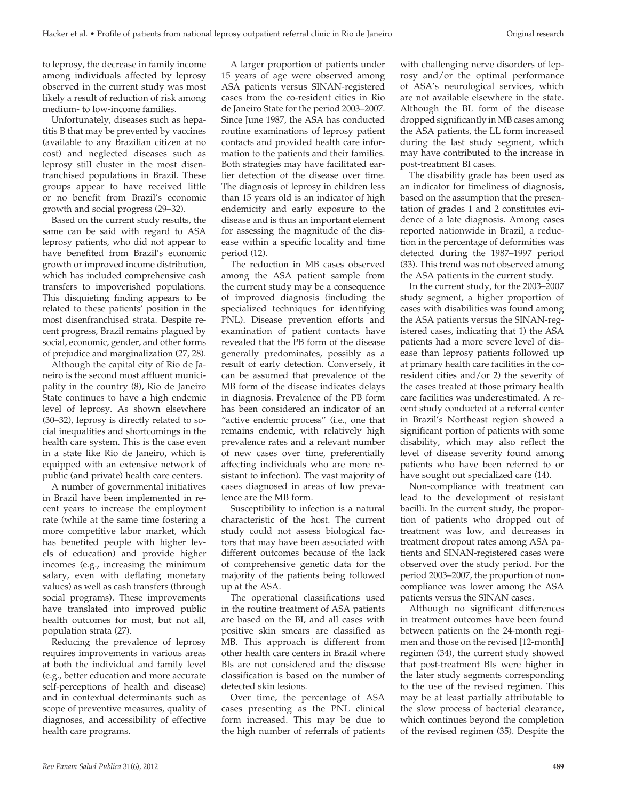to leprosy, the decrease in family income among individuals affected by leprosy observed in the current study was most likely a result of reduction of risk among medium- to low-income families.

Unfortunately, diseases such as hepatitis B that may be prevented by vaccines (available to any Brazilian citizen at no cost) and neglected diseases such as leprosy still cluster in the most disenfranchised populations in Brazil. These groups appear to have received little or no benefit from Brazil's economic growth and social progress (29–32).

Based on the current study results, the same can be said with regard to ASA leprosy patients, who did not appear to have benefited from Brazil's economic growth or improved income distribution, which has included comprehensive cash transfers to impoverished populations. This disquieting finding appears to be related to these patients' position in the most disenfranchised strata. Despite recent progress, Brazil remains plagued by social, economic, gender, and other forms of prejudice and marginalization (27, 28).

Although the capital city of Rio de Janeiro is the second most affluent municipality in the country (8), Rio de Janeiro State continues to have a high endemic level of leprosy. As shown elsewhere (30–32), leprosy is directly related to social inequalities and shortcomings in the health care system. This is the case even in a state like Rio de Janeiro, which is equipped with an extensive network of public (and private) health care centers.

A number of governmental initiatives in Brazil have been implemented in recent years to increase the employment rate (while at the same time fostering a more competitive labor market, which has benefited people with higher levels of education) and provide higher incomes (e.g., increasing the minimum salary, even with deflating monetary values) as well as cash transfers (through social programs). These improvements have translated into improved public health outcomes for most, but not all, population strata (27).

Reducing the prevalence of leprosy requires improvements in various areas at both the individual and family level (e.g., better education and more accurate self-perceptions of health and disease) and in contextual determinants such as scope of preventive measures, quality of diagnoses, and accessibility of effective health care programs.

A larger proportion of patients under 15 years of age were observed among ASA patients versus SINAN-registered cases from the co-resident cities in Rio de Janeiro State for the period 2003–2007. Since June 1987, the ASA has conducted routine examinations of leprosy patient contacts and provided health care information to the patients and their families. Both strategies may have facilitated earlier detection of the disease over time. The diagnosis of leprosy in children less than 15 years old is an indicator of high endemicity and early exposure to the disease and is thus an important element for assessing the magnitude of the disease within a specific locality and time period (12).

The reduction in MB cases observed among the ASA patient sample from the current study may be a consequence of improved diagnosis (including the specialized techniques for identifying PNL). Disease prevention efforts and examination of patient contacts have revealed that the PB form of the disease generally predominates, possibly as a result of early detection. Conversely, it can be assumed that prevalence of the MB form of the disease indicates delays in diagnosis. Prevalence of the PB form has been considered an indicator of an "active endemic process" (i.e., one that remains endemic, with relatively high prevalence rates and a relevant number of new cases over time, preferentially affecting individuals who are more resistant to infection). The vast majority of cases diagnosed in areas of low prevalence are the MB form.

Susceptibility to infection is a natural characteristic of the host. The current study could not assess biological factors that may have been associated with different outcomes because of the lack of comprehensive genetic data for the majority of the patients being followed up at the ASA.

The operational classifications used in the routine treatment of ASA patients are based on the BI, and all cases with positive skin smears are classified as MB. This approach is different from other health care centers in Brazil where BIs are not considered and the disease classification is based on the number of detected skin lesions.

Over time, the percentage of ASA cases presenting as the PNL clinical form increased. This may be due to the high number of referrals of patients

with challenging nerve disorders of leprosy and/or the optimal performance of ASA's neurological services, which are not available elsewhere in the state. Although the BL form of the disease dropped significantly in MB cases among the ASA patients, the LL form increased during the last study segment, which may have contributed to the increase in post-treatment BI cases.

The disability grade has been used as an indicator for timeliness of diagnosis, based on the assumption that the presentation of grades 1 and 2 constitutes evidence of a late diagnosis. Among cases reported nationwide in Brazil, a reduction in the percentage of deformities was detected during the 1987–1997 period (33). This trend was not observed among the ASA patients in the current study.

In the current study, for the 2003–2007 study segment, a higher proportion of cases with disabilities was found among the ASA patients versus the SINAN-registered cases, indicating that 1) the ASA patients had a more severe level of disease than leprosy patients followed up at primary health care facilities in the coresident cities and/or 2) the severity of the cases treated at those primary health care facilities was underestimated. A recent study conducted at a referral center in Brazil's Northeast region showed a significant portion of patients with some disability, which may also reflect the level of disease severity found among patients who have been referred to or have sought out specialized care (14).

Non-compliance with treatment can lead to the development of resistant bacilli. In the current study, the proportion of patients who dropped out of treatment was low, and decreases in treatment dropout rates among ASA patients and SINAN-registered cases were observed over the study period. For the period 2003–2007, the proportion of noncompliance was lower among the ASA patients versus the SINAN cases.

Although no significant differences in treatment outcomes have been found between patients on the 24-month regimen and those on the revised [12-month] regimen (34), the current study showed that post-treatment BIs were higher in the later study segments corresponding to the use of the revised regimen. This may be at least partially attributable to the slow process of bacterial clearance, which continues beyond the completion of the revised regimen (35). Despite the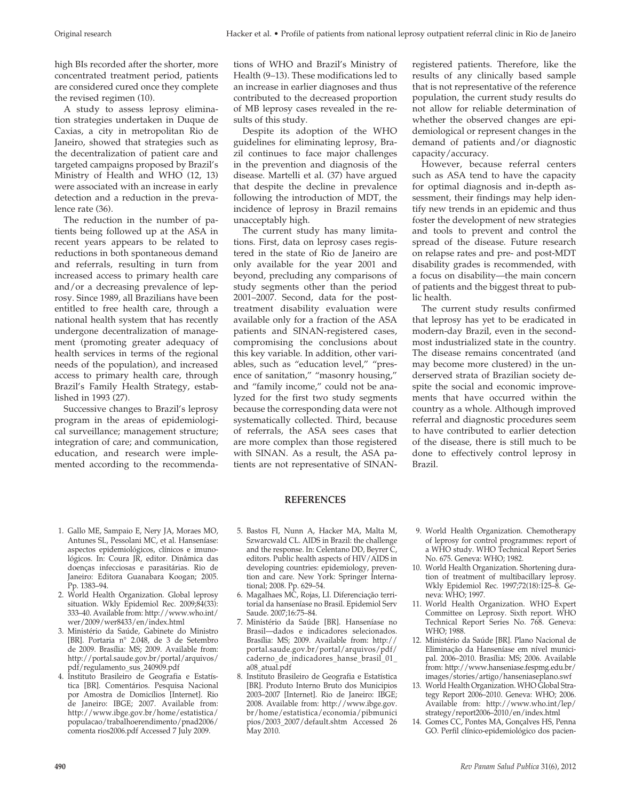high BIs recorded after the shorter, more concentrated treatment period, patients are considered cured once they complete the revised regimen (10).

A study to assess leprosy elimination strategies undertaken in Duque de Caxias, a city in metropolitan Rio de Janeiro, showed that strategies such as the decentralization of patient care and targeted campaigns proposed by Brazil's Ministry of Health and WHO (12, 13) were associated with an increase in early detection and a reduction in the prevalence rate (36).

The reduction in the number of patients being followed up at the ASA in recent years appears to be related to reductions in both spontaneous demand and referrals, resulting in turn from increased access to primary health care and/or a decreasing prevalence of leprosy. Since 1989, all Brazilians have been entitled to free health care, through a national health system that has recently undergone decentralization of management (promoting greater adequacy of health services in terms of the regional needs of the population), and increased access to primary health care, through Brazil's Family Health Strategy, established in 1993 (27).

Successive changes to Brazil's leprosy program in the areas of epidemiological surveillance; management structure; integration of care; and communication, education, and research were implemented according to the recommendations of WHO and Brazil's Ministry of Health (9–13). These modifications led to an increase in earlier diagnoses and thus contributed to the decreased proportion of MB leprosy cases revealed in the results of this study.

Despite its adoption of the WHO guidelines for eliminating leprosy, Brazil continues to face major challenges in the prevention and diagnosis of the disease. Martelli et al. (37) have argued that despite the decline in prevalence following the introduction of MDT, the incidence of leprosy in Brazil remains unacceptably high.

The current study has many limitations. First, data on leprosy cases registered in the state of Rio de Janeiro are only available for the year 2001 and beyond, precluding any comparisons of study segments other than the period 2001–2007. Second, data for the posttreatment disability evaluation were available only for a fraction of the ASA patients and SINAN-registered cases, compromising the conclusions about this key variable. In addition, other variables, such as "education level," "presence of sanitation," "masonry housing," and "family income," could not be analyzed for the first two study segments because the corresponding data were not systematically collected. Third, because of referrals, the ASA sees cases that are more complex than those registered with SINAN. As a result, the ASA patients are not representative of SINAN-

registered patients. Therefore, like the results of any clinically based sample that is not representative of the reference population, the current study results do not allow for reliable determination of whether the observed changes are epidemiological or represent changes in the demand of patients and/or diagnostic capacity/accuracy.

However, because referral centers such as ASA tend to have the capacity for optimal diagnosis and in-depth assessment, their findings may help identify new trends in an epidemic and thus foster the development of new strategies and tools to prevent and control the spread of the disease. Future research on relapse rates and pre- and post-MDT disability grades is recommended, with a focus on disability—the main concern of patients and the biggest threat to public health.

The current study results confirmed that leprosy has yet to be eradicated in modern-day Brazil, even in the secondmost industrialized state in the country. The disease remains concentrated (and may become more clustered) in the underserved strata of Brazilian society despite the social and economic improvements that have occurred within the country as a whole. Although improved referral and diagnostic procedures seem to have contributed to earlier detection of the disease, there is still much to be done to effectively control leprosy in Brazil.

### **REFERENCES**

- 1. Gallo ME, Sampaio E, Nery JA, Moraes MO, Antunes SL, Pessolani MC, et al. Hanseníase: aspectos epidemiológicos, clínicos e imunológicos. In: Coura JR, editor. Dinâmica das doenças infecciosas e parasitárias. Rio de Janeiro: Editora Guanabara Koogan; 2005. Pp. 1383–94.
- 2. World Health Organization. Global leprosy situation. Wkly Epidemiol Rec. 2009;84(33): 333–40. Available from: http://www.who.int/ wer/2009/wer8433/en/index.html
- 3. Ministério da Saúde, Gabinete do Ministro [BR]. Portaria n° 2.048, de 3 de Setembro de 2009. Brasília: MS; 2009. Available from: http://portal.saude.gov.br/portal/arquivos/ pdf/regulamento\_sus\_240909.pdf
- 4. Instituto Brasileiro de Geografia e Estatística [BR]. Comentários. Pesquisa Nacional por Amostra de Domicílios [Internet]. Rio de Janeiro: IBGE; 2007. Available from: http://www.ibge.gov.br/home/estatistica/ populacao/trabalhoerendimento/pnad2006/ comenta rios2006.pdf Accessed 7 July 2009.
- 5. Bastos FI, Nunn A, Hacker MA, Malta M, Szwarcwald CL. AIDS in Brazil: the challenge and the response. In: Celentano DD, Beyrer C, editors. Public health aspects of HIV/AIDS in developing countries: epidemiology, prevention and care. New York: Springer International; 2008. Pp. 629–54.
- 6. Magalhaes MC, Rojas, LI. Diferenciação territorial da hanseníase no Brasil. Epidemiol Serv Saude. 2007;16:75–84.
- 7. Ministério da Saúde [BR]. Hanseníase no Brasil—dados e indicadores selecionados. Brasília: MS; 2009. Available from: http:// portal.saude.gov.br/portal/arquivos/pdf/ caderno\_de\_indicadores\_hanse\_brasil\_01\_ a08\_atual.pdf
- 8. Instituto Brasileiro de Geografia e Estatística [BR]. Produto Interno Bruto dos Municipios 2003–2007 [Internet]. Rio de Janeiro: IBGE; 2008. Available from: http://www.ibge.gov. br/home/estatistica/economia/pibmunici pios/2003\_2007/default.shtm Accessed 26 May 2010.
- 9. World Health Organization. Chemotherapy of leprosy for control programmes: report of a WHO study. WHO Technical Report Series No. 675. Geneva: WHO; 1982.
- 10. World Health Organization. Shortening duration of treatment of multibacillary leprosy. Wkly Epidemiol Rec. 1997;72(18):125–8. Geneva: WHO; 1997.
- 11. World Health Organization. WHO Expert Committee on Leprosy. Sixth report. WHO Technical Report Series No. 768. Geneva: WHO; 1988.
- 12. Ministério da Saúde [BR]. Plano Nacional de Eliminação da Hanseníase em nível municipal. 2006–2010. Brasília: MS; 2006. Available from: http://www.hanseniase.fespmg.edu.br/ images/stories/artigo/hanseniaseplano.swf
- 13. World Health Organization. WHO Global Strategy Report 2006–2010. Geneva: WHO; 2006. Available from: http://www.who.int/lep/ strategy/report2006–2010/en/index.html
- 14. Gomes CC, Pontes MA, Gonçalves HS, Penna GO. Perfil clínico-epidemiológico dos pacien-